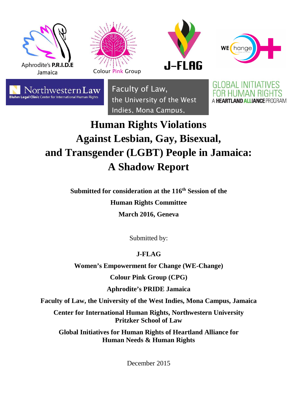









Faculty of Law, the University of the West Indies, Mona Campus,

GLOBAL INITIATIVES A HEARTLAND ALLIANCE PROGRAM

# **Human Rights Violations Against Lesbian, Gay, Bisexual, and Transgender (LGBT) People in Jamaica: A Shadow Report**

**Submitted for consideration at the 116th Session of the Human Rights Committee March 2016, Geneva** 

Submitted by:

# **J-FLAG**

**Women's Empowerment for Change (WE-Change)** 

**Colour Pink Group (CPG)** 

**Aphrodite's PRIDE Jamaica** 

**Faculty of Law, the University of the West Indies, Mona Campus, Jamaica** 

**Center for International Human Rights, Northwestern University Pritzker School of Law** 

**Global Initiatives for Human Rights of Heartland Alliance for Human Needs & Human Rights**

December 2015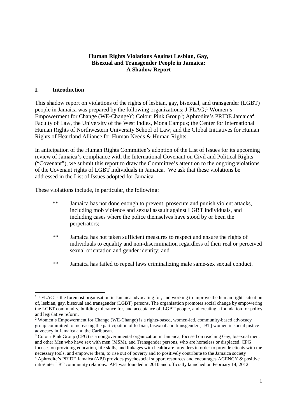# **Human Rights Violations Against Lesbian, Gay, Bisexual and Transgender People in Jamaica: A Shadow Report**

# **I. Introduction**

-

This shadow report on violations of the rights of lesbian, gay, bisexual, and transgender (LGBT) people in Jamaica was prepared by the following organizations: J-FLAG;<sup>1</sup> Women's Empowerment for Change (WE-Change)<sup>2</sup>; Colour Pink Group<sup>3</sup>; Aphrodite's PRIDE Jamaica<sup>4</sup>; Faculty of Law, the University of the West Indies, Mona Campus; the Center for International Human Rights of Northwestern University School of Law; and the Global Initiatives for Human Rights of Heartland Alliance for Human Needs & Human Rights.

In anticipation of the Human Rights Committee's adoption of the List of Issues for its upcoming review of Jamaica's compliance with the International Covenant on Civil and Political Rights ("Covenant"), we submit this report to draw the Committee's attention to the ongoing violations of the Covenant rights of LGBT individuals in Jamaica. We ask that these violations be addressed in the List of Issues adopted for Jamaica.

These violations include, in particular, the following:

- \*\* Jamaica has not done enough to prevent, prosecute and punish violent attacks, including mob violence and sexual assault against LGBT individuals, and including cases where the police themselves have stood by or been the perpetrators;
- \*\* Jamaica has not taken sufficient measures to respect and ensure the rights of individuals to equality and non-discrimination regardless of their real or perceived sexual orientation and gender identity; and
- \*\* Jamaica has failed to repeal laws criminalizing male same-sex sexual conduct.

<sup>&</sup>lt;sup>1</sup> J-FLAG is the foremost organisation in Jamaica advocating for, and working to improve the human rights situation of, lesbian, gay, bisexual and transgender (LGBT) persons. The organisation promotes social change by empowering the LGBT community, building tolerance for, and acceptance of, LGBT people, and creating a foundation for policy and legislative reform.

<sup>&</sup>lt;sup>2</sup> Women's Empowerment for Change (WE-Change) is a rights-based, women-led, community-based advocacy group committed to increasing the participation of lesbian, bisexual and transgender [LBT] women in social justice advocacy in Jamaica and the Caribbean.

<sup>&</sup>lt;sup>3</sup> Colour Pink Group (CPG) is a nongovernmental organization in Jamaica, focused on reaching Gay, bisexual men, and other Men who have sex with men (MSM), and Transgender persons, who are homeless or displaced. CPG focuses on providing education, life skills, and linkages with healthcare providers in order to provide clients with the necessary tools, and empower them, to rise out of poverty and to positively contribute to the Jamaica society 4 Aphrodite's PRIDE Jamaica (APJ) provides psychosocial support resources and encourages AGENCY & positive intra/inter LBT community relations. APJ was founded in 2010 and officially launched on February 14, 2012.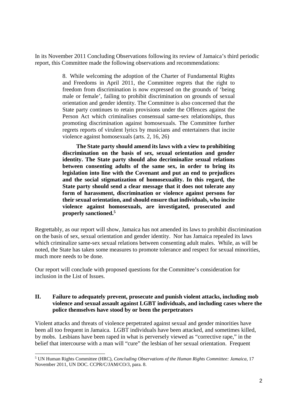In its November 2011 Concluding Observations following its review of Jamaica's third periodic report, this Committee made the following observations and recommendations:

> 8. While welcoming the adoption of the Charter of Fundamental Rights and Freedoms in April 2011, the Committee regrets that the right to freedom from discrimination is now expressed on the grounds of 'being male or female', failing to prohibit discrimination on grounds of sexual orientation and gender identity. The Committee is also concerned that the State party continues to retain provisions under the Offences against the Person Act which criminalises consensual same-sex relationships, thus promoting discrimination against homosexuals. The Committee further regrets reports of virulent lyrics by musicians and entertainers that incite violence against homosexuals (arts. 2, 16, 26)

> **The State party should amend its laws with a view to prohibiting discrimination on the basis of sex, sexual orientation and gender identity. The State party should also decriminalize sexual relations between consenting adults of the same sex, in order to bring its legislation into line with the Covenant and put an end to prejudices and the social stigmatization of homosexuality. In this regard, the State party should send a clear message that it does not tolerate any form of harassment, discrimination or violence against persons for their sexual orientation, and should ensure that individuals, who incite violence against homosexuals, are investigated, prosecuted and properly sanctioned.<sup>5</sup>**

Regrettably, as our report will show, Jamaica has not amended its laws to prohibit discrimination on the basis of sex, sexual orientation and gender identity. Nor has Jamaica repealed its laws which criminalize same-sex sexual relations between consenting adult males. While, as will be noted, the State has taken some measures to promote tolerance and respect for sexual minorities, much more needs to be done.

Our report will conclude with proposed questions for the Committee's consideration for inclusion in the List of Issues.

# **II. Failure to adequately prevent, prosecute and punish violent attacks, including mob violence and sexual assault against LGBT individuals, and including cases where the police themselves have stood by or been the perpetrators**

Violent attacks and threats of violence perpetrated against sexual and gender minorities have been all too frequent in Jamaica. LGBT individuals have been attacked, and sometimes killed, by mobs. Lesbians have been raped in what is perversely viewed as "corrective rape," in the belief that intercourse with a man will "cure" the lesbian of her sexual orientation. Frequent

<sup>1</sup> 5 UN Human Rights Committee (HRC), *Concluding Observations of the Human Rights Committee: Jamaica*, 17 November 2011, UN DOC. CCPR/C/JAM/CO/3, para. 8.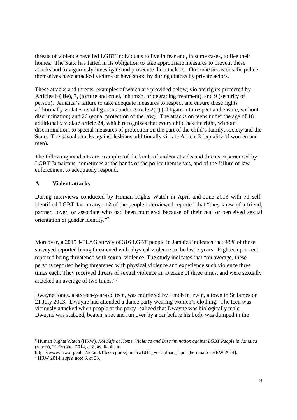threats of violence have led LGBT individuals to live in fear and, in some cases, to flee their homes. The State has failed in its obligation to take appropriate measures to prevent these attacks and to vigorously investigate and prosecute the attackers. On some occasions the police themselves have attacked victims or have stood by during attacks by private actors.

These attacks and threats, examples of which are provided below, violate rights protected by Articles 6 (life), 7, (torture and cruel, inhuman, or degrading treatment), and 9 (security of person). Jamaica's failure to take adequate measures to respect and ensure these rights additionally violates its obligations under Article 2(1) (obligation to respect and ensure, without discrimination) and 26 (equal protection of the law). The attacks on teens under the age of 18 additionally violate article 24, which recognizes that every child has the right, without discrimination, to special measures of protection on the part of the child's family, society and the State. The sexual attacks against lesbians additionally violate Article 3 (equality of women and men).

The following incidents are examples of the kinds of violent attacks and threats experienced by LGBT Jamaicans, sometimes at the hands of the police themselves, and of the failure of law enforcement to adequately respond.

# **A. Violent attacks**

1

During interviews conducted by Human Rights Watch in April and June 2013 with 71 selfidentified LGBT Jamaicans,<sup>6</sup> 12 of the people interviewed reported that "they knew of a friend, partner, lover, or associate who had been murdered because of their real or perceived sexual orientation or gender identity."<sup>7</sup>

Moreover, a 2015 J-FLAG survey of 316 LGBT people in Jamaica indicates that 43% of those surveyed reported being threatened with physical violence in the last 5 years. Eighteen per cent reported being threatened with sexual violence. The study indicates that "on average, these persons reported being threatened with physical violence and experience such violence three times each. They received threats of sexual violence an average of three times, and were sexually attacked an average of two times."<sup>8</sup>

Dwayne Jones, a sixteen-year-old teen, was murdered by a mob in Irwin, a town in St James on 21 July 2013. Dwayne had attended a dance party wearing women's clothing. The teen was viciously attacked when people at the party realized that Dwayne was biologically male. Dwayne was stabbed, beaten, shot and run over by a car before his body was dumped in the

<sup>6</sup> Human Rights Watch (HRW), *Not Safe at Home. Violence and Discrimination against LGBT People in Jamaica*  (report), 21 October 2014, at 8, available at:

https://www.hrw.org/sites/default/files/reports/jamaica1014\_ForUpload\_1.pdf [hereinafter HRW 2014]. 7 HRW 2014, *supra* note 6, at 23.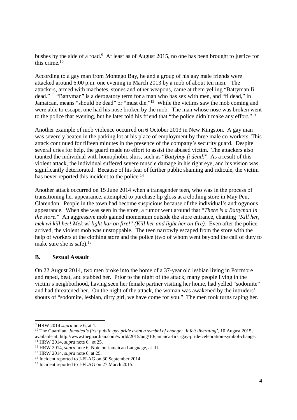bushes by the side of a road.<sup>9</sup> At least as of August 2015, no one has been brought to justice for this crime.<sup>10</sup>

According to a gay man from Montego Bay, he and a group of his gay male friends were attacked around 6:00 p.m. one evening in March 2013 by a mob of about ten men. The attackers, armed with machetes, stones and other weapons, came at them yelling "Battyman fi dead."<sup>11</sup> "Battyman" is a derogatory term for a man who has sex with men, and "fi dead," in Jamaican, means "should be dead" or "must die."<sup>12</sup> While the victims saw the mob coming and were able to escape, one had his nose broken by the mob. The man whose nose was broken went to the police that evening, but he later told his friend that "the police didn't make any effort."<sup>13</sup>

Another example of mob violence occurred on 6 October 2013 in New Kingston. A gay man was severely beaten in the parking lot at his place of employment by three male co-workers. This attack continued for fifteen minutes in the presence of the company's security guard. Despite several cries for help, the guard made no effort to assist the abused victim. The attackers also taunted the individual with homophobic slurs, such as "*Battyboy fi dead!*" As a result of this violent attack, the individual suffered severe muscle damage in his right eye, and his vision was significantly deteriorated. Because of his fear of further public shaming and ridicule, the victim has never reported this incident to the police.<sup>14</sup>

Another attack occurred on 15 June 2014 when a transgender teen, who was in the process of transitioning her appearance, attempted to purchase lip gloss at a clothing store in May Pen, Clarendon. People in the town had become suspicious because of the individual's androgynous appearance. When she was seen in the store, a rumor went around that "*There is a Battyman in the store.*" An aggressive mob gained momentum outside the store entrance, chanting "*Kill her, mek wi kill her! Mek wi light har on fire!*" *(Kill her and light her on fire).* Even after the police arrived, the violent mob was unstoppable. The teen narrowly escaped from the store with the help of workers at the clothing store and the police (two of whom went beyond the call of duty to make sure she is safe).<sup>15</sup>

# **B. Sexual Assault**

On 22 August 2014, two men broke into the home of a 37-year old lesbian living in Portmore and raped, beat, and stabbed her. Prior to the night of the attack, many people living in the victim's neighborhood, having seen her female partner visiting her home, had yelled "sodomite" and had threatened her. On the night of the attack, the woman was awakened by the intruders' shouts of "sodomite, lesbian, dirty girl, we have come for you." The men took turns raping her.

<sup>9</sup> HRW 2014 *supra* note 6, at 1.

<sup>&</sup>lt;sup>10</sup> The Guardian, *Jamaica's first public gay pride event a symbol of change: 'It felt liberating', 10 August 2015,* available at: http://www.theguardian.com/world/2015/aug/10/jamaica-first-gay-pride-celebration-symbol-change. <sup>11</sup> HRW 2014, *supra* note 6, at 25.

<sup>12</sup> HRW 2014, *supra* note 6, Note on Jamaican Language, at III.

<sup>13</sup> HRW 2014, *supra* note 6, at 25.

<sup>&</sup>lt;sup>14</sup> Incident reported to J-FLAG on 30 September 2014.

<sup>&</sup>lt;sup>15</sup> Incident reported to J-FLAG on 27 March 2015.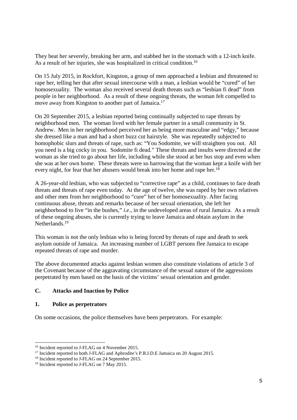They beat her severely, breaking her arm, and stabbed her in the stomach with a 12-inch knife. As a result of her injuries, she was hospitalized in critical condition.<sup>16</sup>

On 15 July 2015, in Rockfort, Kingston, a group of men approached a lesbian and threatened to rape her, telling her that after sexual intercourse with a man, a lesbian would be "cured" of her homosexuality. The woman also received several death threats such as "lesbian fi dead" from people in her neighborhood. As a result of these ongoing threats, the woman felt compelled to move away from Kingston to another part of Jamaica.<sup>17</sup>

On 20 September 2015, a lesbian reported being continually subjected to rape threats by neighborhood men. The woman lived with her female partner in a small community in St. Andrew. Men in her neighborhood perceived her as being more masculine and "edgy," because she dressed like a man and had a short buzz cut hairstyle. She was repeatedly subjected to homophobic slurs and threats of rape, such as: "You Sodomite, we will straighten you out. All you need is a big cocky in you. Sodomite fi dead." These threats and insults were directed at the woman as she tried to go about her life, including while she stood at her bus stop and even when she was at her own home. These threats were so harrowing that the woman kept a knife with her every night, for fear that her abusers would break into her home and rape her.<sup>18</sup>

A 26-year-old lesbian, who was subjected to "corrective rape" as a child, continues to face death threats and threats of rape even today. At the age of twelve, she was raped by her own relatives and other men from her neighborhood to "cure" her of her homosexuality. After facing continuous abuse, threats and remarks because of her sexual orientation, she left her neighborhood to live "in the bushes," *i.e*., in the undeveloped areas of rural Jamaica. As a result of these ongoing abuses, she is currently trying to leave Jamaica and obtain asylum in the Netherlands.<sup>19</sup>

This woman is not the only lesbian who is being forced by threats of rape and death to seek asylum outside of Jamaica. An increasing number of LGBT persons flee Jamaica to escape repeated threats of rape and murder.

The above documented attacks against lesbian women also constitute violations of article 3 of the Covenant because of the aggravating circumstance of the sexual nature of the aggressions perpetrated by men based on the basis of the victims' sexual orientation and gender.

# **C. Attacks and Inaction by Police**

# **1. Police as perpetrators**

1

On some occasions, the police themselves have been perpetrators. For example:

<sup>&</sup>lt;sup>16</sup> Incident reported to J-FLAG on 4 November 2015.

<sup>&</sup>lt;sup>17</sup> Incident reported to both J-FLAG and Aphrodite's P.R.I.D.E Jamaica on 20 August 2015.

<sup>&</sup>lt;sup>18</sup> Incident reported to J-FLAG on 24 September 2015.

<sup>&</sup>lt;sup>19</sup> Incident reported to J-FLAG on 7 May 2015.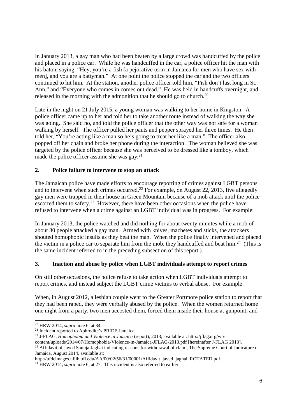In January 2013, a gay man who had been beaten by a large crowd was handcuffed by the police and placed in a police car. While he was handcuffed in the car, a police officer hit the man with his baton, saying, "Hey, you're a fish [a pejorative term in Jamaica for men who have sex with men], and you are a battyman." At one point the police stopped the car and the two officers continued to hit him. At the station, another police officer told him, "Fish don't last long in St. Ann," and "Everyone who comes in comes out dead." He was held in handcuffs overnight, and released in the morning with the admonition that he should go to church.<sup>20</sup>

Late in the night on 21 July 2015, a young woman was walking to her home in Kingston. A police officer came up to her and told her to take another route instead of walking the way she was going. She said no, and told the police officer that the other way was not safe for a woman walking by herself. The officer pulled her pants and pepper sprayed her three times. He then told her, "You're acting like a man so he's going to treat her like a man." The officer also popped off her chain and broke her phone during the interaction. The woman believed she was targeted by the police officer because she was perceived to be dressed like a tomboy, which made the police officer assume she was  $\gamma^{21}$ 

# **2. Police failure to intervene to stop an attack**

The Jamaican police have made efforts to encourage reporting of crimes against LGBT persons and to intervene when such crimes occurred.<sup>22</sup> For example, on August 22, 2013, five allegedly gay men were trapped in their house in Green Mountain because of a mob attack until the police escorted them to safety.<sup>23</sup> However, there have been other occasions when the police have refused to intervene when a crime against an LGBT individual was in progress. For example:

In January 2013, the police watched and did nothing for about twenty minutes while a mob of about 30 people attacked a gay man. Armed with knives, machetes and sticks, the attackers shouted homophobic insults as they beat the man. When the police finally intervened and placed the victim in a police car to separate him from the mob, they handcuffed and beat him.<sup>24</sup> (This is the same incident referred to in the preceding subsection of this report.)

# **3. Inaction and abuse by police when LGBT individuals attempt to report crimes**

On still other occasions, the police refuse to take action when LGBT individuals attempt to report crimes, and instead subject the LGBT crime victims to verbal abuse. For example:

When, in August 2012, a lesbian couple went to the Greater Portmore police station to report that they had been raped, they were verbally abused by the police. When the women returned home one night from a party, two men accosted them, forced them inside their house at gunpoint, and

22 J-FLAG, *Homophobia and Violence in Jamaica* (report), 2013, available at: http://jflag.org/wp-

<sup>1</sup> <sup>20</sup> HRW 2014, *supra* note 6, at 34.

<sup>&</sup>lt;sup>21</sup> Incident reported to Aphrodite's PRIDE Jamaica.

content/uploads/2014/07/Homophobia-Violence-in-Jamaica-JFLAG-2013.pdf [hereinafter J-FLAG 2013].

<sup>&</sup>lt;sup>23</sup> Affidavit of Javed Saunja Jaghai indicating reasons for withdrawal of claim, The Supreme Court of Judicature of Jamaica, August 2014, available at:

http://ufdcimages.uflib.ufl.edu/AA/00/02/56/31/00001/Affidavit\_javed\_jaghai\_ROTATED.pdf.

<sup>&</sup>lt;sup>24</sup> HRW 2014, *supra* note 6, at 27. This incident is also referred to earlier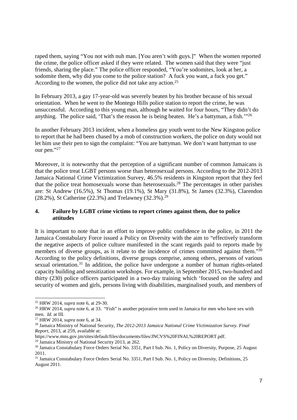raped them, saying "You not with nuh man. [You aren't with guys.]" When the women reported the crime, the police officer asked if they were related. The women said that they were "just friends, sharing the place." The police officer responded, "You're sodomites, look at her, a sodomite them, why did you come to the police station? A fuck you want, a fuck you get." According to the women, the police did not take any action.<sup>25</sup>

In February 2013, a gay 17-year-old was severely beaten by his brother because of his sexual orientation. When he went to the Montego Hills police station to report the crime, he was unsuccessful. According to this young man, although he waited for four hours, "They didn't do anything. The police said, 'That's the reason he is being beaten. He's a battyman, a fish.'"<sup>26</sup>

In another February 2013 incident, when a homeless gay youth went to the New Kingston police to report that he had been chased by a mob of construction workers, the police on duty would not let him use their pen to sign the complaint: "You are battyman. We don't want battyman to use our pen."27

Moreover, it is noteworthy that the perception of a significant number of common Jamaicans is that the police treat LGBT persons worse than heterosexual persons. According to the 2012-2013 Jamaica National Crime Victimization Survey, 46.5% residents in Kingston report that they feel that the police treat homosexuals worse than heterosexuals.<sup>28</sup> The percentages in other parishes are: St Andrew (16.5%), St Thomas (19.1%), St Mary (31.8%), St James (32.3%), Clarendon (28.2%), St Catherine (22.3%) and Trelawney (32.3%). 29

# **4. Failure by LGBT crime victims to report crimes against them, due to police attitudes**

It is important to note that in an effort to improve public confidence in the police, in 2011 the Jamaica Constabulary Force issued a Policy on Diversity with the aim to "effectively transform the negative aspects of police culture manifested in the scant regards paid to reports made by members of diverse groups, as it relate to the incidence of crimes committed against them."<sup>30</sup> According to the policy definitions, diverse groups comprise, among others, persons of various sexual orientation.<sup>31</sup> In addition, the police have undergone a number of human rights-related capacity building and sensitization workshops. For example, in September 2015, two-hundred and thirty (230) police officers participated in a two-day training which 'focused on the safety and security of women and girls, persons living with disabilities, marginalised youth, and members of

 $\overline{a}$ 

<sup>25</sup> HRW 2014, *supra* note 6, at 29-30.

<sup>&</sup>lt;sup>26</sup> HRW 2014, *supra* note 6, at 33. "Fish" is another pejorative term used in Jamaica for men who have sex with men. *Id.* at III.

<sup>27</sup> HRW 2014, *supra* note 6, at 34.

<sup>28</sup> Jamaica Ministry of National Security, *The 2012-2013 Jamaica National Crime Victimization Survey. Final Report*, 2013, at 259, available at:

https://www.mns.gov.jm/sites/default/files/documents/files/JNCVS%20FINAL%20REPORT.pdf.

<sup>&</sup>lt;sup>29</sup> Jamaica Ministry of National Security 2013, at 262.

<sup>30</sup> Jamaica Constabulary Force Orders Serial No. 3351, Part I Sub. No. 1, Policy on Diversity, Purpose, 25 August 2011.

<sup>31</sup> Jamaica Constabulary Force Orders Serial No. 3351, Part I Sub. No. 1, Policy on Diversity, Definitions, 25 August 2011.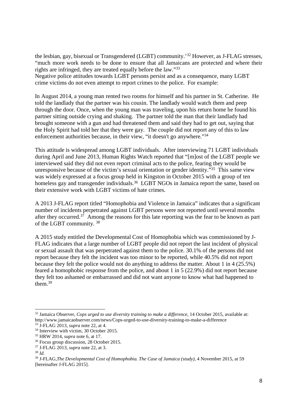the lesbian, gay, bisexual or Transgendered (LGBT) community.'<sup>32</sup> However, as J-FLAG stresses, "much more work needs to be done to ensure that all Jamaicans are protected and where their rights are infringed, they are treated equally before the law."<sup>33</sup>

Negative police attitudes towards LGBT persons persist and as a consequence, many LGBT crime victims do not even attempt to report crimes to the police. For example:

In August 2014, a young man rented two rooms for himself and his partner in St. Catherine. He told the landlady that the partner was his cousin. The landlady would watch them and peep through the door. Once, when the young man was traveling, upon his return home he found his partner sitting outside crying and shaking. The partner told the man that their landlady had brought someone with a gun and had threatened them and said they had to get out, saying that the Holy Spirit had told her that they were gay. The couple did not report any of this to law enforcement authorities because, in their view, "it doesn't go anywhere."<sup>34</sup>

This attitude is widespread among LGBT individuals. After interviewing 71 LGBT individuals during April and June 2013, Human Rights Watch reported that "[m]ost of the LGBT people we interviewed said they did not even report criminal acts to the police, fearing they would be unresponsive because of the victim's sexual orientation or gender identity."<sup>35</sup> This same view was widely expressed at a focus group held in Kingston in October 2015 with a group of ten homeless gay and transgender individuals.<sup>36</sup> LGBT NGOs in Jamaica report the same, based on their extensive work with LGBT victims of hate crimes.

A 2013 J-FLAG report titled "Homophobia and Violence in Jamaica" indicates that a significant number of incidents perpetrated against LGBT persons were not reported until several months after they occurred.<sup>37</sup> Among the reasons for this late reporting was the fear to be known as part of the LGBT community.<sup>38</sup>

A 2015 study entitled the Developmental Cost of Homophobia which was commissioned by J-FLAG indicates that a large number of LGBT people did not report the last incident of physical or sexual assault that was perpetrated against them to the police. 30.1% of the persons did not report because they felt the incident was too minor to be reported, while 40.5% did not report because they felt the police would not do anything to address the matter. About 1 in 4 (25.5%) feared a homophobic response from the police, and about 1 in 5 (22.9%) did not report because they felt too ashamed or embarrassed and did not want anyone to know what had happened to them. $39$ 

<sup>&</sup>lt;sup>32</sup> Jamaica Observer, *Cops urged to use diversity training to make a difference*, 14 October 2015, available at: http://www.jamaicaobserver.com/news/Cops-urged-to-use-diversity-training-to-make-a-difference

<sup>33</sup> J-FLAG 2013, *supra* note 22, at 4.

<sup>&</sup>lt;sup>34</sup> Interview with victim, 30 October 2015.

<sup>35</sup> HRW 2014, *supra* note 6, at 17.

<sup>36</sup> Focus group discussion, 28 October 2015.

<sup>37</sup> J-FLAG 2013, *supra* note 22, at 3.

<sup>38</sup> *Id.* 

<sup>39</sup> J-FLAG,*The Developmental Cost of Homophobia. The Case of Jamaica (study)*, 4 November 2015, at 59 [hereinafter J-FLAG 2015].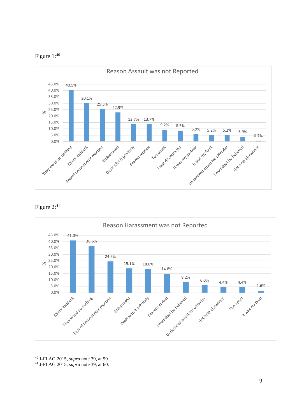







<sup>40</sup> J-FLAG 2015, *supra* note 39, at 59.

<sup>41</sup> J-FLAG 2015, *supra* note 39, at 60.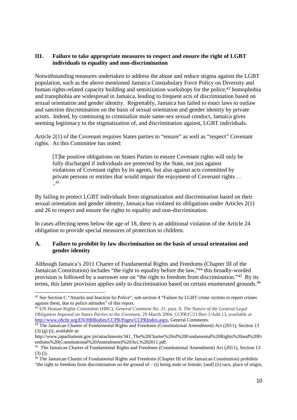# **III. Failure to take appropriate measures to respect and ensure the right of LGBT individuals to equality and non-discrimination**

Notwithstanding measures undertaken to address the abuse and reduce stigma against the LGBT population, such as the above mentioned Jamaica Constabulary Force Policy on Diversity and human rights-related capacity building and sensitization workshops for the police,<sup>42</sup> homophobia and transphobia are widespread in Jamaica, leading to frequent acts of discrimination based on sexual orientation and gender identity. Regrettably, Jamaica has failed to enact laws to outlaw and sanction discrimination on the basis of sexual orientation and gender identity by private actors. Indeed, by continuing to criminalize male same-sex sexual conduct, Jamaica gives seeming legitimacy to the stigmatization of, and discrimination against, LGBT individuals.

Article 2(1) of the Covenant requires States parties to "ensure" as well as "respect" Covenant rights. As this Committee has noted:

[T]he positive obligations on States Parties to ensure Covenant rights will only be fully discharged if individuals are protected by the State, not just against violations of Covenant rights by its agents, but also against acts committed by private persons or entities that would impair the enjoyment of Covenant rights . . .. 43

By failing to protect LGBT individuals from stigmatization and discrimination based on their sexual orientation and gender identity, Jamaica has violated its obligations under Articles 2(1) and 26 to respect and ensure the rights to equality and non-discrimination.

In cases affecting teens below the age of 18, there is an additional violation of the Article 24 obligation to provide special measures of protection to children.

# **A. Failure to prohibit by law discrimination on the basis of sexual orientation and gender identity**

Although Jamaica's 2011 Charter of Fundamental Rights and Freedoms (Chapter III of the Jamaican Constitution) includes "the right to equality before the law,"<sup>44</sup> this broadly-worded provision is followed by a narrower one on "the right to freedom from discrimination."<sup>45</sup> By its terms, this latter provision applies only to discrimination based on certain enumerated grounds.<sup>46</sup>

-

<sup>&</sup>lt;sup>42</sup> See Section C "Attacks and Inaction by Police", sub-section 4 "Failure by LGBT crime victims to report crimes against them, due to police attitudes" of this report.

<sup>43</sup> UN Human Rights Committee (HRC), *General Comment No. 31,* para. 8, *The Nature of the General Legal Obligation Imposed on States Parties to the Covenant*, 29 March 2004, CCPR/C/21/Rev.1/Add.13, *available at*  http://www.ohchr.org/EN/HRBodies/CCPR/Pages/CCPRIndex.aspx, General Comments.

<sup>&</sup>lt;sup>44</sup> The Jamaican Charter of Fundamental Rights and Freedoms (Constitutional Amendment) Act (2011), Section 13  $(3)$  (g) (i), available at:

http://www.japarliament.gov.jm/attachments/341\_The%20Charter%20of%20Fundamental%20Rights%20and%20Fr eedoms%20(Constitutional%20Amendment)%20Act,%202011.pdf.

<sup>&</sup>lt;sup>45</sup> The Jamaican Charter of Fundamental Rights and Freedoms (Constitutional Amendment) Act (2011), Section 13 (3) (i).

<sup>46</sup> The Jamaican Charter of Fundamental Rights and Freedoms (Chapter III of the Jamaican Constitution) prohibits "the right to freedom from discrimination on the ground of  $-$  (i) being male or female; [and] (ii) race, place of origin,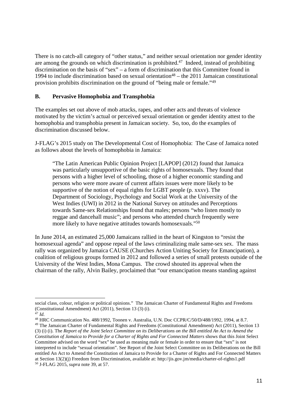There is no catch-all category of "other status," and neither sexual orientation nor gender identity are among the grounds on which discrimination is prohibited.<sup>47</sup> Indeed, instead of prohibiting discrimination on the basis of "sex" – a form of discrimination that this Committee found in 1994 to include discrimination based on sexual orientation<sup>48</sup> – the 2011 Jamaican constitutional provision prohibits discrimination on the ground of "being male or female."<sup>49</sup>

# **B. Pervasive Homophobia and Transphobia**

The examples set out above of mob attacks, rapes, and other acts and threats of violence motivated by the victim's actual or perceived sexual orientation or gender identity attest to the homophobia and transphobia present in Jamaican society. So, too, do the examples of discrimination discussed below.

J-FLAG's 2015 study on The Developmental Cost of Homophobia: The Case of Jamaica noted as follows about the levels of homophobia in Jamaica:

"The Latin American Public Opinion Project [LAPOP] (2012) found that Jamaica was particularly unsupportive of the basic rights of homosexuals. They found that persons with a higher level of schooling, those of a higher economic standing and persons who were more aware of current affairs issues were more likely to be supportive of the notion of equal rights for LGBT people (p. xxxv). The Department of Sociology, Psychology and Social Work at the University of the West Indies (UWI) in 2012 in the National Survey on attitudes and Perceptions towards Same-sex Relationships found that males; persons "who listen mostly to reggae and dancehall music"; and persons who attended church frequently were more likely to have negative attitudes towards homosexuals."<sup>50</sup>

In June 2014, an estimated 25,000 Jamaicans rallied in the heart of Kingston to "resist the homosexual agenda" and oppose repeal of the laws criminalizing male same-sex sex. The mass rally was organized by Jamaica CAUSE (Churches Action Uniting Society for Emancipation), a coalition of religious groups formed in 2012 and followed a series of small protests outside of the University of the West Indies, Mona Campus. The crowd shouted its approval when the chairman of the rally, Alvin Bailey, proclaimed that "our emancipation means standing against

 $\overline{a}$ social class, colour, religion or political opinions." The Jamaican Charter of Fundamental Rights and Freedoms (Constitutional Amendment) Act (2011), Section 13 (3) (i).

 $47$  *Id.* 

<sup>48</sup> HRC Communication No. 488/1992, Toonen v. Australia, U.N. Doc CCPR/C/50/D/488/1992, 1994, at 8.7. <sup>49</sup> The Jamaican Charter of Fundamental Rights and Freedoms (Constitutional Amendment) Act (2011), Section 13 (3) (i) (i). The *Report of the Joint Select Committee on its Deliberations on the Bill entitled An Act to Amend the Constitution of Jamaica to Provide for a Charter of Rights and For Connected Matters* shows that this Joint Select Committee advised on the word "sex" be used as meaning male or female in order to ensure that "sex" is not interpreted to include "sexual orientation". See Report of the Joint Select Committee on its Deliberations on the Bill entitled An Act to Amend the Constitution of Jamaica to Provide for a Charter of Rights and For Connected Matters at Section 13(2)(j) Freedom from Discrimination, available at: http://jis.gov.jm/media/charter-of-rights1.pdf 50 J-FLAG 2015, *supra* note 39, at 57.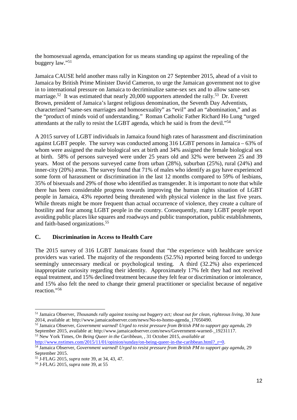the homosexual agenda, emancipation for us means standing up against the repealing of the buggery law."<sup>51</sup>

Jamaica CAUSE held another mass rally in Kingston on 27 September 2015, ahead of a visit to Jamaica by British Prime Minister David Cameron, to urge the Jamaican government not to give in to international pressure on Jamaica to decriminalize same-sex sex and to allow same-sex marriage.<sup>52</sup> It was estimated that nearly 20,000 supporters attended the rally.<sup>53</sup> Dr. Everett Brown, president of Jamaica's largest religious denomination, the Seventh Day Adventists, characterized "same-sex marriages and homosexuality" as "evil" and an "abomination," and as the "product of minds void of understanding." Roman Catholic Father Richard Ho Lung "urged attendants at the rally to resist the LGBT agenda, which he said is from the devil."<sup>54</sup>

A 2015 survey of LGBT individuals in Jamaica found high rates of harassment and discrimination against LGBT people. The survey was conducted among 316 LGBT persons in Jamaica – 63% of whom were assigned the male biological sex at birth and 34% assigned the female biological sex at birth. 58% of persons surveyed were under 25 years old and 32% were between 25 and 39 years. Most of the persons surveyed came from urban (28%), suburban (25%), rural (24%) and inner-city (20%) areas. The survey found that 71% of males who identify as gay have experienced some form of harassment or discrimination in the last 12 months compared to 59% of lesbians, 35% of bisexuals and 29% of those who identified as transgender. It is important to note that while there has been considerable progress towards improving the human rights situation of LGBT people in Jamaica, 43% reported being threatened with physical violence in the last five years. While threats might be more frequent than actual occurrence of violence, they create a culture of hostility and fear among LGBT people in the country. Consequently, many LGBT people report avoiding public places like squares and roadways and public transportation, public establishments, and faith-based organizations.<sup>55</sup>

# **C. Discrimination in Access to Health Care**

The 2015 survey of 316 LGBT Jamaicans found that "the experience with healthcare service providers was varied. The majority of the respondents (52.5%) reported being forced to undergo seemingly unnecessary medical or psychological testing. A third (32.2%) also experienced inappropriate curiosity regarding their identity. Approximately 17% felt they had not received equal treatment, and 15% declined treatment because they felt fear or discrimination or intolerance, and 15% also felt the need to change their general practitioner or specialist because of negative reaction."<sup>56</sup>

<sup>53</sup> New York Times, *On Being Queer in the Caribbean*, , 31 October 2015, *available at* http://www.nytimes.com/2015/11/01/opinion/sunday/on-being-queer-in-the-caribbean.html? r=0.

<sup>51</sup> Jamaica Observer, *Thousands rally against tossing out buggery act; shout out for clean, righteous living*, 30 June 2014, available at: http://www.jamaicaobserver.com/news/No-to-homo-agenda\_17050490.

<sup>52</sup> Jamaica Observer, *Government warned! Urged to resist pressure from British PM to support gay agenda*, 29 September 2015, available at: http://www.jamaicaobserver.com/news/Government-warned- 19231117.

<sup>54</sup> Jamaica Observer, *Government warned! Urged to resist pressure from British PM to support gay agenda,* 29 September 2015.

<sup>55</sup> J-FLAG 2015, *supra* note 39, at 34, 43, 47.

<sup>56</sup> J-FLAG 2015, *supra* note 39, at 55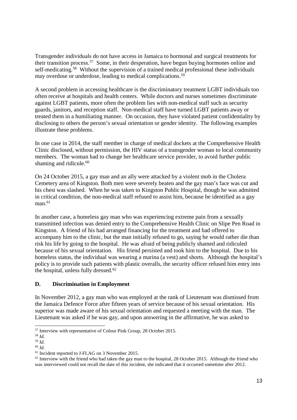Transgender individuals do not have access in Jamaica to hormonal and surgical treatments for their transition process.<sup>57</sup> Some, in their desperation, have begun buying hormones online and self-medicating.<sup>58</sup> Without the supervision of a trained medical professional these individuals may overdose or underdose, leading to medical complications.<sup>59</sup>

A second problem in accessing healthcare is the discriminatory treatment LGBT individuals too often receive at hospitals and health centers. While doctors and nurses sometimes discriminate against LGBT patients, more often the problem lies with non-medical staff such as security guards, janitors, and reception staff. Non-medical staff have turned LGBT patients away or treated them in a humiliating manner. On occasion, they have violated patient confidentiality by disclosing to others the person's sexual orientation or gender identity. The following examples illustrate these problems.

In one case in 2014, the staff member in charge of medical dockets at the Comprehensive Health Clinic disclosed, without permission, the HIV status of a transgender woman to local community members. The woman had to change her healthcare service provider, to avoid further public shaming and ridicule.<sup>60</sup>

On 24 October 2015, a gay man and an ally were attacked by a violent mob in the Cholera Cemetery area of Kingston. Both men were severely beaten and the gay man's face was cut and his chest was slashed. When he was taken to Kingston Public Hospital, though he was admitted in critical condition, the non-medical staff refused to assist him, because he identified as a gay man.<sup>61</sup>

In another case, a homeless gay man who was experiencing extreme pain from a sexually transmitted infection was denied entry to the Comprehensive Health Clinic on Slipe Pen Road in Kingston. A friend of his had arranged financing for the treatment and had offered to accompany him to the clinic, but the man initially refused to go, saying he would rather die than risk his life by going to the hospital. He was afraid of being publicly shamed and ridiculed because of his sexual orientation. His friend persisted and took him to the hospital. Due to his homeless status, the individual was wearing a marina (a vest) and shorts. Although the hospital's policy is to provide such patients with plastic overalls, the security officer refused him entry into the hospital, unless fully dressed.<sup>62</sup>

# **D. Discrimination in Employment**

In November 2012, a gay man who was employed at the rank of Lieutenant was dismissed from the Jamaica Defence Force after fifteen years of service because of his sexual orientation. His superior was made aware of his sexual orientation and requested a meeting with the man. The Lieutenant was asked if he was gay, and upon answering in the affirmative, he was asked to

<sup>-</sup><sup>57</sup> Interview with representative of Colour Pink Group, 28 October 2015.

<sup>58</sup> *Id.*

<sup>59</sup> *Id.*

<sup>60</sup> *Id.*

<sup>&</sup>lt;sup>61</sup> Incident reported to J-FLAG on 3 November 2015.

 $62$  Interview with the friend who had taken the gay man to the hospital, 28 October 2015. Although the friend who was interviewed could not recall the date of this incident, she indicated that it occurred sometime after 2012.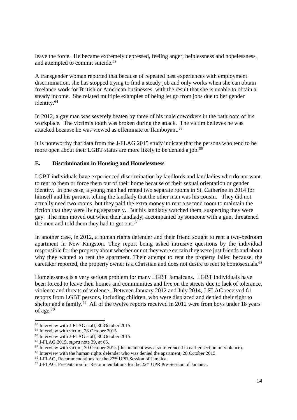leave the force. He became extremely depressed, feeling anger, helplessness and hopelessness, and attempted to commit suicide.<sup>63</sup>

A transgender woman reported that because of repeated past experiences with employment discrimination, she has stopped trying to find a steady job and only works when she can obtain freelance work for British or American businesses, with the result that she is unable to obtain a steady income. She related multiple examples of being let go from jobs due to her gender identity.<sup>64</sup>

In 2012, a gay man was severely beaten by three of his male coworkers in the bathroom of his workplace. The victim's tooth was broken during the attack. The victim believes he was attacked because he was viewed as effeminate or flamboyant.<sup>65</sup>

It is noteworthy that data from the J-FLAG 2015 study indicate that the persons who tend to be more open about their LGBT status are more likely to be denied a job.<sup>66</sup>

# **E. Discrimination in Housing and Homelessness**

LGBT individuals have experienced discrimination by landlords and landladies who do not want to rent to them or force them out of their home because of their sexual orientation or gender identity. In one case, a young man had rented two separate rooms in St. Catherine in 2014 for himself and his partner, telling the landlady that the other man was his cousin. They did not actually need two rooms, but they paid the extra money to rent a second room to maintain the fiction that they were living separately. But his landlady watched them, suspecting they were gay. The men moved out when their landlady, accompanied by someone with a gun, threatened the men and told them they had to get out.<sup>67</sup>

In another case, in 2012, a human rights defender and their friend sought to rent a two-bedroom apartment in New Kingston. They report being asked intrusive questions by the individual responsible for the property about whether or not they were certain they were just friends and about why they wanted to rent the apartment. Their attempt to rent the property failed because, the caretaker reported, the property owner is a Christian and does not desire to rent to homosexuals.<sup>68</sup>

Homelessness is a very serious problem for many LGBT Jamaicans. LGBT individuals have been forced to leave their homes and communities and live on the streets due to lack of tolerance, violence and threats of violence. Between January 2012 and July 2014, J-FLAG received 61 reports from LGBT persons, including children, who were displaced and denied their right to shelter and a family.<sup>69</sup> All of the twelve reports received in 2012 were from boys under 18 years of age.<sup>70</sup>

<sup>1</sup> <sup>63</sup> Interview with J-FLAG staff, 30 October 2015.

<sup>&</sup>lt;sup>64</sup> Interview with victim, 28 October 2015.

<sup>65</sup> Interview with J-FLAG staff, 30 October 2015.

<sup>66</sup> J-FLAG 2015, *supra* note 39, at 66.

<sup>67</sup> Interview with victim, 30 October 2015 (this incident was also referenced in earlier section on violence).

<sup>&</sup>lt;sup>68</sup> Interview with the human rights defender who was denied the apartment, 28 October 2015.

<sup>69</sup> J-FLAG, Recommendations for the 22nd UPR Session of Jamaica.

<sup>&</sup>lt;sup>70</sup> J-FLAG, Presentation for Recommendations for the 22<sup>nd</sup> UPR Pre-Session of Jamaica.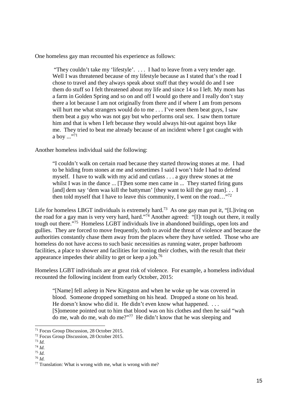One homeless gay man recounted his experience as follows:

 "They couldn't take my 'lifestyle'. . . . I had to leave from a very tender age. Well I was threatened because of my lifestyle because as I stated that's the road I chose to travel and they always speak about stuff that they would do and I see them do stuff so I felt threatened about my life and since 14 so I left. My mom has a farm in Golden Spring and so on and off I would go there and I really don't stay there a lot because I am not originally from there and if where I am from persons will hurt me what strangers would do to me . . . I've seen them beat guys, I saw them beat a guy who was not gay but who performs oral sex. I saw them torture him and that is when I left because they would always hit-out against boys like me. They tried to beat me already because of an incident where I got caught with a boy  $\cdots$ <sup>71</sup>

Another homeless individual said the following:

"I couldn't walk on certain road because they started throwing stones at me. I had to be hiding from stones at me and sometimes I said I won't hide I had to defend myself. I have to walk with my acid and cutlass . . . a guy threw stones at me whilst I was in the dance  $\ldots$  [Then some men came in  $\ldots$  They started firing guns [and] dem say 'dem waa kill the battyman' [they want to kill the gay man]. . . I then told myself that I have to leave this community, I went on the road..."<sup>72</sup>

Life for homeless LBGT individuals is extremely hard.<sup>73</sup> As one gay man put it, "[L]iving on the road for a gay man is very very hard, hard."<sup>74</sup> Another agreed: "[I]t tough out there, it really tough out there."<sup>75</sup> Homeless LGBT individuals live in abandoned buildings, open lots and gullies. They are forced to move frequently, both to avoid the threat of violence and because the authorities constantly chase them away from the places where they have settled. Those who are homeless do not have access to such basic necessities as running water, proper bathroom facilities, a place to shower and facilities for ironing their clothes, with the result that their appearance impedes their ability to get or keep a job.<sup>76</sup>

Homeless LGBT individuals are at great risk of violence. For example, a homeless individual recounted the following incident from early October, 2015:

"[Name] fell asleep in New Kingston and when he woke up he was covered in blood. Someone dropped something on his head. Dropped a stone on his head. He doesn't know who did it. He didn't even know what happened. ... [S]omeone pointed out to him that blood was on his clothes and then he said "wah do me, wah do me, wah do me?"<sup>77</sup> He didn't know that he was sleeping and

-

<sup>71</sup> Focus Group Discussion, 28 October 2015.

<sup>72</sup> Focus Group Discussion, 28 October 2015.

<sup>73</sup> *Id.*

<sup>74</sup> *Id.*

<sup>75</sup> *Id.* <sup>76</sup> *Id.*

<sup>77</sup> Translation: What is wrong with me, what is wrong with me?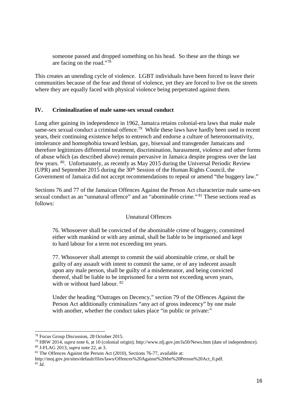someone passed and dropped something on his head. So these are the things we are facing on the road."<sup>78</sup>

This creates an unending cycle of violence. LGBT individuals have been forced to leave their communities because of the fear and threat of violence, yet they are forced to live on the streets where they are equally faced with physical violence being perpetrated against them.

# **IV. Criminalization of male same-sex sexual conduct**

Long after gaining its independence in 1962, Jamaica retains colonial-era laws that make male same-sex sexual conduct a criminal offence.<sup>79</sup> While these laws have hardly been used in recent years, their continuing existence helps to entrench and endorse a culture of heteronormativity, intolerance and homophobia toward lesbian, gay, bisexual and transgender Jamaicans and therefore legitimizes differential treatment, discrimination, harassment, violence and other forms of abuse which (as described above) remain pervasive in Jamaica despite progress over the last few years. <sup>80</sup>. Unfortunately, as recently as May 2015 during the Universal Periodic Review (UPR) and September 2015 during the  $30<sup>th</sup>$  Session of the Human Rights Council, the Government of Jamaica did not accept recommendations to repeal or amend "the buggery law."

Sections 76 and 77 of the Jamaican Offences Against the Person Act characterize male same-sex sexual conduct as an "unnatural offence" and an "abominable crime." <sup>81</sup> These sections read as follows:

# Unnatural Offences

76. Whosoever shall be convicted of the abominable crime of buggery, committed either with mankind or with any animal, shall be liable to be imprisoned and kept to hard labour for a term not exceeding ten years.

77. Whosoever shall attempt to commit the said abominable crime, or shall be guilty of any assault with intent to commit the same, or of any indecent assault upon any male person, shall be guilty of a misdemeanor, and being convicted thereof, shall be liable to be imprisoned for a term not exceeding seven years, with or without hard labour. <sup>82</sup>

Under the heading "Outrages on Decency," section 79 of the Offences Against the Person Act additionally criminalizes "any act of gross indecency" by one male with another, whether the conduct takes place "in public or private:"

-

http://moj.gov.jm/sites/default/files/laws/Offences%20Against%20the%20Person%20Act\_0.pdf.  $82 \bar{I}$ 

<sup>78</sup> Focus Group Discussion, 28 October 2015.

<sup>79</sup> HRW 2014, *supra* note 6, at 10 (colonial origin); http://www.nlj.gov.jm/Ja50/News.htm (date of independence). <sup>80</sup> J-FLAG 2013, *supra* note 22, at 3.

 $81$  The Offences Against the Person Act (2010), Sections 76-77, available at: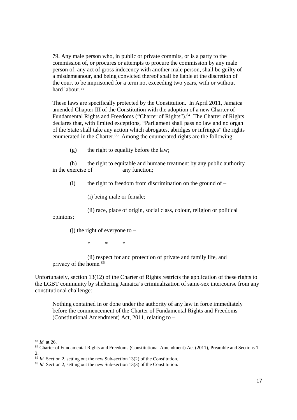79. Any male person who, in public or private commits, or is a party to the commission of, or procures or attempts to procure the commission by any male person of, any act of gross indecency with another male person, shall be guilty of a misdemeanour, and being convicted thereof shall be liable at the discretion of the court to be imprisoned for a term not exceeding two years, with or without hard labour.<sup>83</sup>

These laws are specifically protected by the Constitution. In April 2011, Jamaica amended Chapter III of the Constitution with the adoption of a new Charter of Fundamental Rights and Freedoms ("Charter of Rights").<sup>84</sup> The Charter of Rights declares that, with limited exceptions, "Parliament shall pass no law and no organ of the State shall take any action which abrogates, abridges or infringes" the rights enumerated in the Charter.<sup>85</sup> Among the enumerated rights are the following:

(g) the right to equality before the law;

 (h) the right to equitable and humane treatment by any public authority in the exercise of any function;

 $(i)$  the right to freedom from discrimination on the ground of –

(i) being male or female;

(ii) race, place of origin, social class, colour, religion or political

opinions;

 $(i)$  the right of everyone to –

 $*$  \* \* \*

 (ii) respect for and protection of private and family life, and privacy of the home.<sup>86</sup>

Unfortunately, section 13(12) of the Charter of Rights restricts the application of these rights to the LGBT community by sheltering Jamaica's criminalization of same-sex intercourse from any constitutional challenge:

Nothing contained in or done under the authority of any law in force immediately before the commencement of the Charter of Fundamental Rights and Freedoms (Constitutional Amendment) Act, 2011, relating to –

<sup>83</sup> *Id.* at 26.

<sup>84</sup> Charter of Fundamental Rights and Freedoms (Constitutional Amendment) Act (2011), Preamble and Sections 1-2.

<sup>85</sup> *Id.* Section 2, setting out the new Sub-section 13(2) of the Constitution.

<sup>86</sup> *Id.* Section 2, setting out the new Sub-section 13(3) of the Constitution.